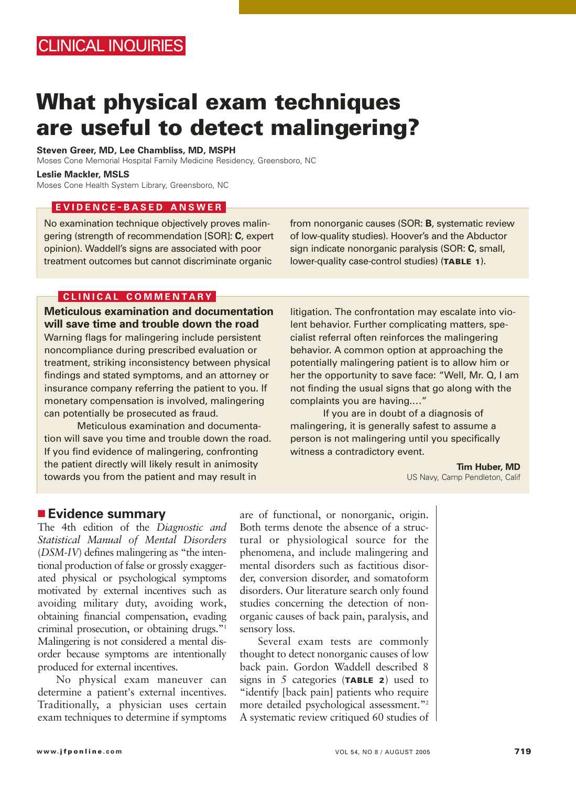# **What physical exam techniques are useful to detect malingering?**

**Steven Greer, MD, Lee Chambliss, MD, MSPH**

Moses Cone Memorial Hospital Family Medicine Residency, Greensboro, NC

**Leslie Mackler, MSLS**

Moses Cone Health System Library, Greensboro, NC

### **EVIDENCE - BASED ANSWER**

No examination technique objectively proves malingering (strength of recommendation [SOR]: **C**, expert opinion). Waddell's signs are associated with poor treatment outcomes but cannot discriminate organic

from nonorganic causes (SOR: **B**, systematic review of low-quality studies). Hoover's and the Abductor sign indicate nonorganic paralysis (SOR: **C**, small, lower-quality case-control studies) (**TABLE 1**).

### **CLINICAL COMMENTARY**

**Meticulous examination and documentation will save time and trouble down the road** Warning flags for malingering include persistent noncompliance during prescribed evaluation or treatment, striking inconsistency between physical findings and stated symptoms, and an attorney or insurance company referring the patient to you. If monetary compensation is involved, malingering can potentially be prosecuted as fraud.

Meticulous examination and documentation will save you time and trouble down the road. If you find evidence of malingering, confronting the patient directly will likely result in animosity towards you from the patient and may result in

litigation. The confrontation may escalate into violent behavior. Further complicating matters, specialist referral often reinforces the malingering behavior. A common option at approaching the potentially malingering patient is to allow him or her the opportunity to save face: "Well, Mr. Q, I am not finding the usual signs that go along with the complaints you are having.…"

If you are in doubt of a diagnosis of malingering, it is generally safest to assume a person is not malingering until you specifically witness a contradictory event.

> **Tim Huber, MD** US Navy, Camp Pendleton, Calif

### ■ **Evidence summary**

The 4th edition of the *Diagnostic and Statistical Manual of Mental Disorders* (*DSM-IV*) defines malingering as "the intentional production of false or grossly exaggerated physical or psychological symptoms motivated by external incentives such as avoiding military duty, avoiding work, obtaining financial compensation, evading criminal prosecution, or obtaining drugs."1 Malingering is not considered a mental disorder because symptoms are intentionally produced for external incentives.

No physical exam maneuver can determine a patient's external incentives. Traditionally, a physician uses certain exam techniques to determine if symptoms are of functional, or nonorganic, origin. Both terms denote the absence of a structural or physiological source for the phenomena, and include malingering and mental disorders such as factitious disorder, conversion disorder, and somatoform disorders. Our literature search only found studies concerning the detection of nonorganic causes of back pain, paralysis, and sensory loss.

Several exam tests are commonly thought to detect nonorganic causes of low back pain. Gordon Waddell described 8 signs in 5 categories (**TABLE 2**) used to "identify [back pain] patients who require more detailed psychological assessment."2 A systematic review critiqued 60 studies of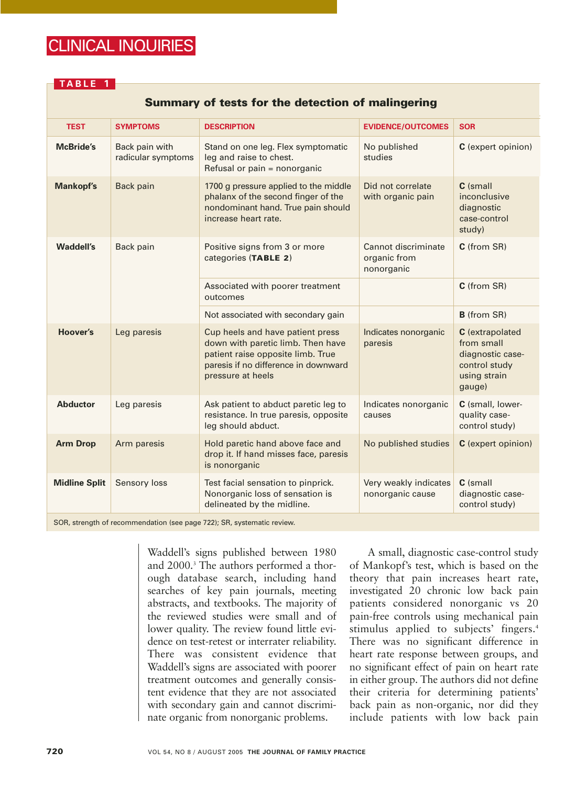## CLINICAL INQUIRIES

### **TABLE 1**

### **Summary of tests for the detection of malingering**

| <b>TEST</b>          | <b>SYMPTOMS</b>                      | <b>DESCRIPTION</b>                                                                                                                                                      | <b>EVIDENCE/OUTCOMES</b>                          | <b>SOR</b>                                                                                   |
|----------------------|--------------------------------------|-------------------------------------------------------------------------------------------------------------------------------------------------------------------------|---------------------------------------------------|----------------------------------------------------------------------------------------------|
| <b>McBride's</b>     | Back pain with<br>radicular symptoms | Stand on one leg. Flex symptomatic<br>leg and raise to chest.<br>Refusal or pain = nonorganic                                                                           | No published<br>studies                           | C (expert opinion)                                                                           |
| <b>Mankopf's</b>     | Back pain                            | 1700 g pressure applied to the middle<br>phalanx of the second finger of the<br>nondominant hand. True pain should<br>increase heart rate.                              | Did not correlate<br>with organic pain            | C (small<br>inconclusive<br>diagnostic<br>case-control<br>study)                             |
| <b>Waddell's</b>     | Back pain                            | Positive signs from 3 or more<br>categories (TABLE 2)                                                                                                                   | Cannot discriminate<br>organic from<br>nonorganic | C (from SR)                                                                                  |
|                      |                                      | Associated with poorer treatment<br>outcomes                                                                                                                            |                                                   | C (from SR)                                                                                  |
|                      |                                      | Not associated with secondary gain                                                                                                                                      |                                                   | <b>B</b> (from SR)                                                                           |
| Hoover's             | Leg paresis                          | Cup heels and have patient press<br>down with paretic limb. Then have<br>patient raise opposite limb. True<br>paresis if no difference in downward<br>pressure at heels | Indicates nonorganic<br>paresis                   | C (extrapolated<br>from small<br>diagnostic case-<br>control study<br>using strain<br>gauge) |
| <b>Abductor</b>      | Leg paresis                          | Ask patient to abduct paretic leg to<br>resistance. In true paresis, opposite<br>leg should abduct.                                                                     | Indicates nonorganic<br>causes                    | C (small, lower-<br>quality case-<br>control study)                                          |
| <b>Arm Drop</b>      | Arm paresis                          | Hold paretic hand above face and<br>drop it. If hand misses face, paresis<br>is nonorganic                                                                              | No published studies                              | C (expert opinion)                                                                           |
| <b>Midline Split</b> | Sensory loss                         | Test facial sensation to pinprick.<br>Nonorganic loss of sensation is<br>delineated by the midline.                                                                     | Very weakly indicates<br>nonorganic cause         | C (small<br>diagnostic case-<br>control study)                                               |

SOR, strength of recommendation (see page 722); SR, systematic review.

Waddell's signs published between 1980 and 2000.3 The authors performed a thorough database search, including hand searches of key pain journals, meeting abstracts, and textbooks. The majority of the reviewed studies were small and of lower quality. The review found little evidence on test-retest or interrater reliability. There was consistent evidence that Waddell's signs are associated with poorer treatment outcomes and generally consistent evidence that they are not associated with secondary gain and cannot discriminate organic from nonorganic problems.

A small, diagnostic case-control study of Mankopf's test, which is based on the theory that pain increases heart rate, investigated 20 chronic low back pain patients considered nonorganic vs 20 pain-free controls using mechanical pain stimulus applied to subjects' fingers.<sup>4</sup> There was no significant difference in heart rate response between groups, and no significant effect of pain on heart rate in either group. The authors did not define their criteria for determining patients' back pain as non-organic, nor did they include patients with low back pain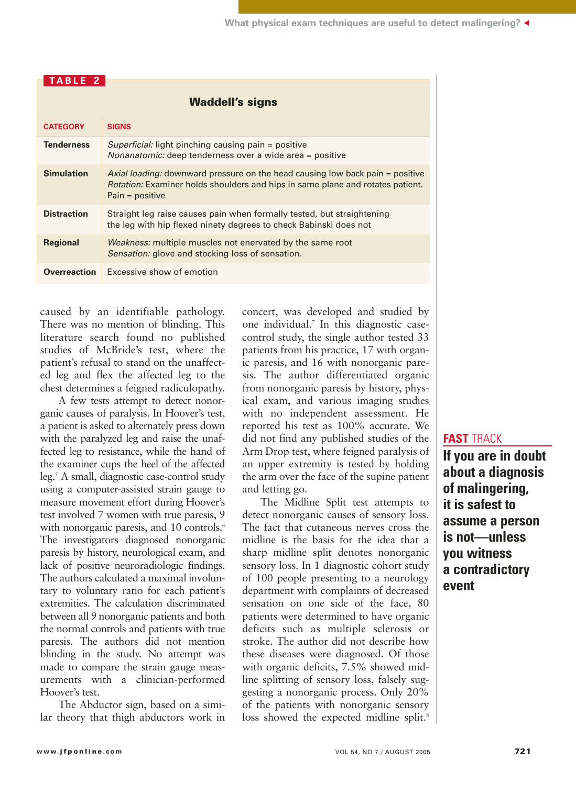| <b>Waddell's signs</b> |                                                                                                                                                                                             |  |  |
|------------------------|---------------------------------------------------------------------------------------------------------------------------------------------------------------------------------------------|--|--|
| <b>CATEGORY</b>        | <b>SIGNS</b>                                                                                                                                                                                |  |  |
| <b>Tenderness</b>      | Superficial: light pinching causing pain = positive<br>Nonanatomic: deep tenderness over a wide area = positive                                                                             |  |  |
| <b>Simulation</b>      | Axial loading: downward pressure on the head causing low back pain = positive<br><i>Rotation:</i> Examiner holds shoulders and hips in same plane and rotates patient.<br>$Pain = positive$ |  |  |
| <b>Distraction</b>     | Straight leg raise causes pain when formally tested, but straightening<br>the leg with hip flexed ninety degrees to check Babinski does not                                                 |  |  |
| <b>Regional</b>        | <i>Weakness:</i> multiple muscles not enervated by the same root<br>Sensation: glove and stocking loss of sensation.                                                                        |  |  |
| <b>Overreaction</b>    | Excessive show of emotion                                                                                                                                                                   |  |  |

caused by an identifiable pathology. There was no mention of blinding. This literature search found no published studies of McBride's test, where the patient's refusal to stand on the unaffected leg and flex the affected leg to the chest determines a feigned radiculopathy.

**TABLE 2**

A few tests attempt to detect nonorganic causes of paralysis. In Hoover's test, a patient is asked to alternately press down with the paralyzed leg and raise the unaffected leg to resistance, while the hand of the examiner cups the heel of the affected leg.5 A small, diagnostic case-control study using a computer-assisted strain gauge to measure movement effort during Hoover's test involved 7 women with true paresis, 9 with nonorganic paresis, and 10 controls.<sup>6</sup> The investigators diagnosed nonorganic paresis by history, neurological exam, and lack of positive neuroradiologic findings. The authors calculated a maximal involuntary to voluntary ratio for each patient's extremities. The calculation discriminated between all 9 nonorganic patients and both the normal controls and patients with true paresis. The authors did not mention blinding in the study. No attempt was made to compare the strain gauge measurements with a clinician-performed Hoover's test.

The Abductor sign, based on a similar theory that thigh abductors work in concert, was developed and studied by one individual.7 In this diagnostic casecontrol study, the single author tested 33 patients from his practice, 17 with organic paresis, and 16 with nonorganic paresis. The author differentiated organic from nonorganic paresis by history, physical exam, and various imaging studies with no independent assessment. He reported his test as 100% accurate. We did not find any published studies of the Arm Drop test, where feigned paralysis of an upper extremity is tested by holding the arm over the face of the supine patient and letting go.

The Midline Split test attempts to detect nonorganic causes of sensory loss. The fact that cutaneous nerves cross the midline is the basis for the idea that a sharp midline split denotes nonorganic sensory loss. In 1 diagnostic cohort study of 100 people presenting to a neurology department with complaints of decreased sensation on one side of the face, 80 patients were determined to have organic deficits such as multiple sclerosis or stroke. The author did not describe how these diseases were diagnosed. Of those with organic deficits, 7.5% showed midline splitting of sensory loss, falsely suggesting a nonorganic process. Only 20% of the patients with nonorganic sensory loss showed the expected midline split.<sup>8</sup>

### **FAST** TRACK

**If you are in doubt about a diagnosis of malingering, it is safest to assume a person is not—unless you witness a contradictory event**